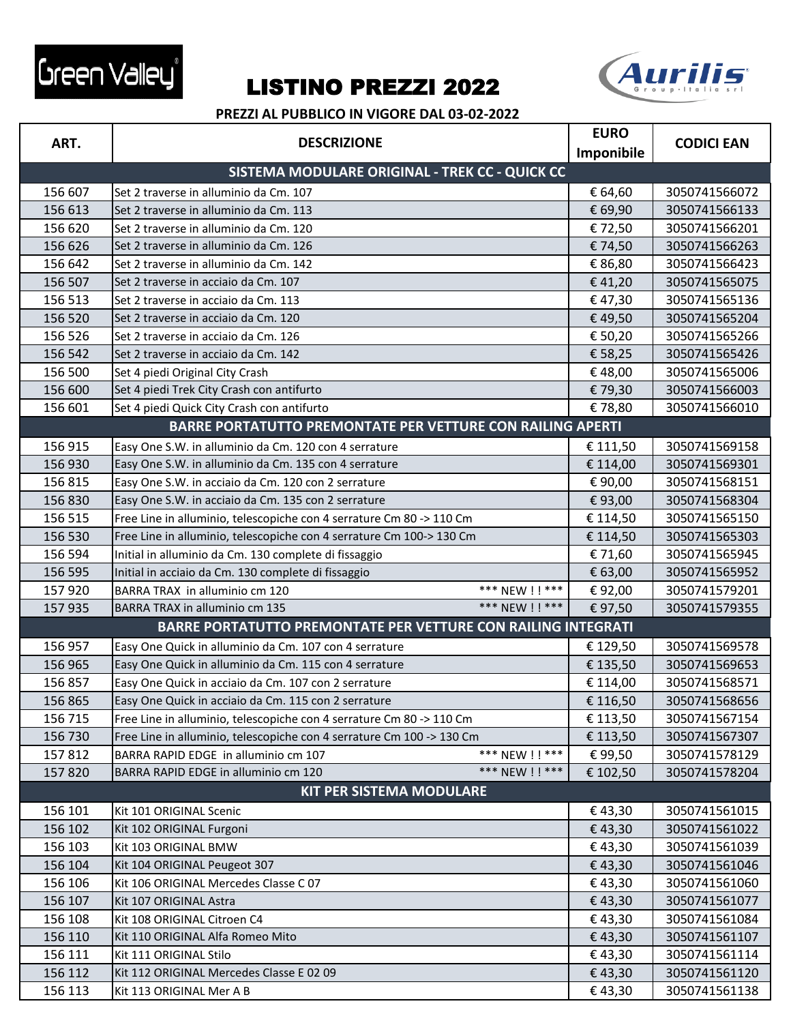



|         | <b>DESCRIZIONE</b><br>ART.                                            |            |                   |
|---------|-----------------------------------------------------------------------|------------|-------------------|
|         |                                                                       | Imponibile | <b>CODICI EAN</b> |
|         | SISTEMA MODULARE ORIGINAL - TREK CC - QUICK CC                        |            |                   |
| 156 607 | Set 2 traverse in alluminio da Cm. 107                                | € 64,60    | 3050741566072     |
| 156 613 | Set 2 traverse in alluminio da Cm. 113                                | € 69,90    | 3050741566133     |
| 156 620 | Set 2 traverse in alluminio da Cm. 120                                | €72,50     | 3050741566201     |
| 156 626 | Set 2 traverse in alluminio da Cm. 126                                | € 74,50    | 3050741566263     |
| 156 642 | Set 2 traverse in alluminio da Cm. 142                                | € 86,80    | 3050741566423     |
| 156 507 | Set 2 traverse in acciaio da Cm. 107                                  | €41,20     | 3050741565075     |
| 156 513 | Set 2 traverse in acciaio da Cm. 113                                  | €47,30     | 3050741565136     |
| 156 520 | Set 2 traverse in acciaio da Cm. 120                                  | €49,50     | 3050741565204     |
| 156 526 | Set 2 traverse in acciaio da Cm. 126                                  | € 50,20    | 3050741565266     |
| 156 542 | Set 2 traverse in acciaio da Cm. 142                                  | € 58,25    | 3050741565426     |
| 156 500 | Set 4 piedi Original City Crash                                       | €48,00     | 3050741565006     |
| 156 600 | Set 4 piedi Trek City Crash con antifurto                             | €79,30     | 3050741566003     |
| 156 601 | Set 4 piedi Quick City Crash con antifurto                            | €78,80     | 3050741566010     |
|         | BARRE PORTATUTTO PREMONTATE PER VETTURE CON RAILING APERTI            |            |                   |
| 156 915 | Easy One S.W. in alluminio da Cm. 120 con 4 serrature                 | € 111,50   | 3050741569158     |
| 156 930 | Easy One S.W. in alluminio da Cm. 135 con 4 serrature                 | € 114,00   | 3050741569301     |
| 156 815 | Easy One S.W. in acciaio da Cm. 120 con 2 serrature                   | €90,00     | 3050741568151     |
| 156 830 | Easy One S.W. in acciaio da Cm. 135 con 2 serrature                   | €93,00     | 3050741568304     |
| 156 515 | Free Line in alluminio, telescopiche con 4 serrature Cm 80 -> 110 Cm  | € 114,50   | 3050741565150     |
| 156 530 | Free Line in alluminio, telescopiche con 4 serrature Cm 100-> 130 Cm  | € 114,50   | 3050741565303     |
| 156 594 | Initial in alluminio da Cm. 130 complete di fissaggio                 | € 71,60    | 3050741565945     |
| 156 595 | Initial in acciaio da Cm. 130 complete di fissaggio                   | € 63,00    | 3050741565952     |
| 157 920 | *** NEW !! ***<br>BARRA TRAX in alluminio cm 120                      | €92,00     | 3050741579201     |
| 157 935 | *** NEW ! ! ***<br>BARRA TRAX in alluminio cm 135                     | €97,50     | 3050741579355     |
|         | <b>BARRE PORTATUTTO PREMONTATE PER VETTURE CON RAILING INTEGRATI</b>  |            |                   |
| 156 957 | Easy One Quick in alluminio da Cm. 107 con 4 serrature                | € 129,50   | 3050741569578     |
| 156 965 | Easy One Quick in alluminio da Cm. 115 con 4 serrature                | € 135,50   | 3050741569653     |
| 156 857 | Easy One Quick in acciaio da Cm. 107 con 2 serrature                  | € 114,00   | 3050741568571     |
| 156 865 | Easy One Quick in acciaio da Cm. 115 con 2 serrature                  | € 116,50   | 3050741568656     |
| 156 715 | Free Line in alluminio, telescopiche con 4 serrature Cm 80 -> 110 Cm  | € 113,50   | 3050741567154     |
| 156 730 | Free Line in alluminio, telescopiche con 4 serrature Cm 100 -> 130 Cm | € 113,50   | 3050741567307     |
| 157812  | *** NEW !! ***<br>BARRA RAPID EDGE in alluminio cm 107                | €99,50     | 3050741578129     |
| 157820  | *** NEW ! ! ***<br>BARRA RAPID EDGE in alluminio cm 120               | € 102,50   | 3050741578204     |
|         | <b>KIT PER SISTEMA MODULARE</b>                                       |            |                   |
| 156 101 | Kit 101 ORIGINAL Scenic                                               | €43,30     | 3050741561015     |
| 156 102 | Kit 102 ORIGINAL Furgoni                                              | €43,30     | 3050741561022     |
| 156 103 | Kit 103 ORIGINAL BMW                                                  | €43,30     | 3050741561039     |
| 156 104 | Kit 104 ORIGINAL Peugeot 307                                          | €43,30     | 3050741561046     |
| 156 106 | Kit 106 ORIGINAL Mercedes Classe C 07                                 | €43,30     | 3050741561060     |
| 156 107 | Kit 107 ORIGINAL Astra                                                | €43,30     | 3050741561077     |
| 156 108 | Kit 108 ORIGINAL Citroen C4                                           | €43,30     | 3050741561084     |
| 156 110 | Kit 110 ORIGINAL Alfa Romeo Mito                                      | €43,30     | 3050741561107     |
| 156 111 | Kit 111 ORIGINAL Stilo                                                | €43,30     | 3050741561114     |
| 156 112 | Kit 112 ORIGINAL Mercedes Classe E 02 09                              | €43,30     | 3050741561120     |
| 156 113 | Kit 113 ORIGINAL Mer A B                                              | €43,30     | 3050741561138     |
|         |                                                                       |            |                   |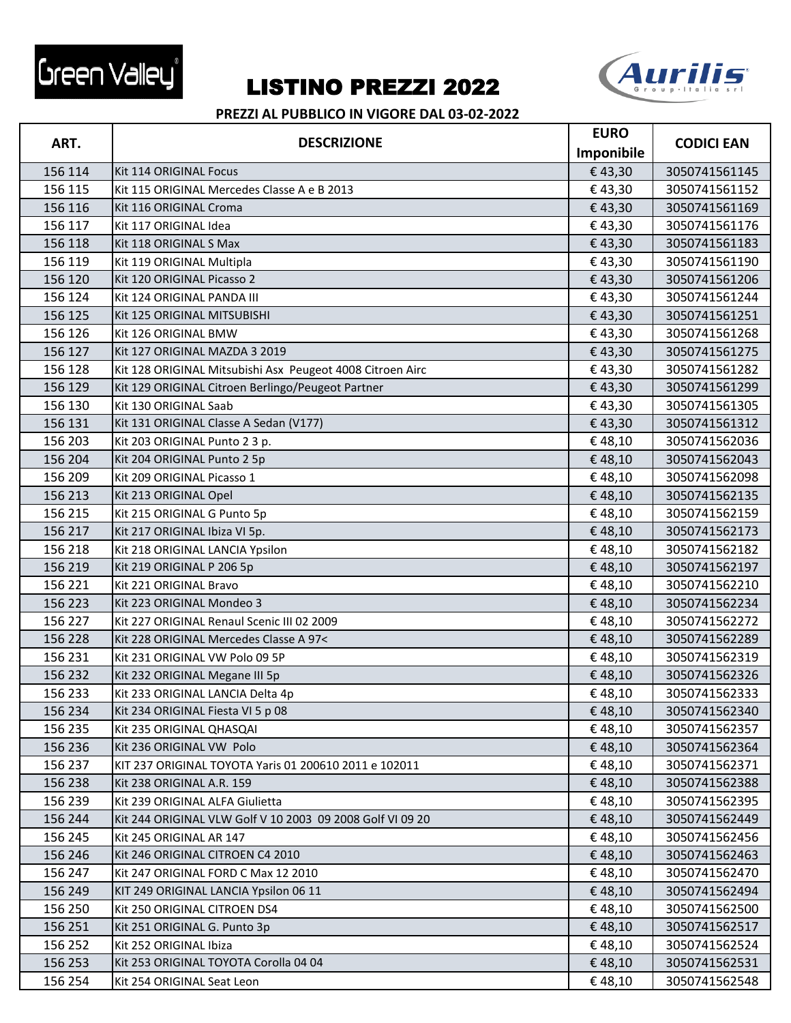



|         |                                                           | <b>EURO</b> |                   |
|---------|-----------------------------------------------------------|-------------|-------------------|
| ART.    | <b>DESCRIZIONE</b>                                        | Imponibile  | <b>CODICI EAN</b> |
| 156 114 | Kit 114 ORIGINAL Focus                                    | €43,30      | 3050741561145     |
| 156 115 | Kit 115 ORIGINAL Mercedes Classe A e B 2013               | €43,30      | 3050741561152     |
| 156 116 | Kit 116 ORIGINAL Croma                                    | €43,30      | 3050741561169     |
| 156 117 | Kit 117 ORIGINAL Idea                                     | €43,30      | 3050741561176     |
| 156 118 | Kit 118 ORIGINAL S Max                                    | €43,30      | 3050741561183     |
| 156 119 | Kit 119 ORIGINAL Multipla                                 | €43,30      | 3050741561190     |
| 156 120 | Kit 120 ORIGINAL Picasso 2                                | €43,30      | 3050741561206     |
| 156 124 | Kit 124 ORIGINAL PANDA III                                | €43,30      | 3050741561244     |
| 156 125 | Kit 125 ORIGINAL MITSUBISHI                               | €43,30      | 3050741561251     |
| 156 126 | Kit 126 ORIGINAL BMW                                      | €43,30      | 3050741561268     |
| 156 127 | Kit 127 ORIGINAL MAZDA 3 2019                             | €43,30      | 3050741561275     |
| 156 128 | Kit 128 ORIGINAL Mitsubishi Asx Peugeot 4008 Citroen Airc | €43,30      | 3050741561282     |
| 156 129 | Kit 129 ORIGINAL Citroen Berlingo/Peugeot Partner         | €43,30      | 3050741561299     |
| 156 130 | Kit 130 ORIGINAL Saab                                     | €43,30      | 3050741561305     |
| 156 131 | Kit 131 ORIGINAL Classe A Sedan (V177)                    | €43,30      | 3050741561312     |
| 156 203 | Kit 203 ORIGINAL Punto 2 3 p.                             | €48,10      | 3050741562036     |
| 156 204 | Kit 204 ORIGINAL Punto 2 5p                               | €48,10      | 3050741562043     |
| 156 209 | Kit 209 ORIGINAL Picasso 1                                | €48,10      | 3050741562098     |
| 156 213 | Kit 213 ORIGINAL Opel                                     | €48,10      | 3050741562135     |
| 156 215 | Kit 215 ORIGINAL G Punto 5p                               | €48,10      | 3050741562159     |
| 156 217 | Kit 217 ORIGINAL Ibiza VI 5p.                             | €48,10      | 3050741562173     |
| 156 218 | Kit 218 ORIGINAL LANCIA Ypsilon                           | €48,10      | 3050741562182     |
| 156 219 | Kit 219 ORIGINAL P 206 5p                                 | €48,10      | 3050741562197     |
| 156 221 | Kit 221 ORIGINAL Bravo                                    | €48,10      | 3050741562210     |
| 156 223 | Kit 223 ORIGINAL Mondeo 3                                 | €48,10      | 3050741562234     |
| 156 227 | Kit 227 ORIGINAL Renaul Scenic III 02 2009                | €48,10      | 3050741562272     |
| 156 228 | Kit 228 ORIGINAL Mercedes Classe A 97<                    | €48,10      | 3050741562289     |
| 156 231 | Kit 231 ORIGINAL VW Polo 09 5P                            | €48,10      | 3050741562319     |
| 156 232 | Kit 232 ORIGINAL Megane III 5p                            | €48,10      | 3050741562326     |
| 156 233 | Kit 233 ORIGINAL LANCIA Delta 4p                          | €48,10      | 3050741562333     |
| 156 234 | Kit 234 ORIGINAL Fiesta VI 5 p 08                         | €48,10      | 3050741562340     |
| 156 235 | Kit 235 ORIGINAL QHASQAI                                  | €48,10      | 3050741562357     |
| 156 236 | Kit 236 ORIGINAL VW Polo                                  | €48,10      | 3050741562364     |
| 156 237 | KIT 237 ORIGINAL TOYOTA Yaris 01 200610 2011 e 102011     | €48,10      | 3050741562371     |
| 156 238 | Kit 238 ORIGINAL A.R. 159                                 | €48,10      | 3050741562388     |
| 156 239 | Kit 239 ORIGINAL ALFA Giulietta                           | €48,10      | 3050741562395     |
| 156 244 | Kit 244 ORIGINAL VLW Golf V 10 2003 09 2008 Golf VI 09 20 | €48,10      | 3050741562449     |
| 156 245 | Kit 245 ORIGINAL AR 147                                   | €48,10      | 3050741562456     |
| 156 246 | Kit 246 ORIGINAL CITROEN C4 2010                          | €48,10      | 3050741562463     |
| 156 247 | Kit 247 ORIGINAL FORD C Max 12 2010                       | €48,10      | 3050741562470     |
| 156 249 | KIT 249 ORIGINAL LANCIA Ypsilon 06 11                     | €48,10      | 3050741562494     |
| 156 250 | Kit 250 ORIGINAL CITROEN DS4                              | €48,10      | 3050741562500     |
| 156 251 | Kit 251 ORIGINAL G. Punto 3p                              | €48,10      | 3050741562517     |
| 156 252 | Kit 252 ORIGINAL Ibiza                                    | €48,10      | 3050741562524     |
| 156 253 | Kit 253 ORIGINAL TOYOTA Corolla 04 04                     | €48,10      | 3050741562531     |
| 156 254 | Kit 254 ORIGINAL Seat Leon                                | €48,10      | 3050741562548     |
|         |                                                           |             |                   |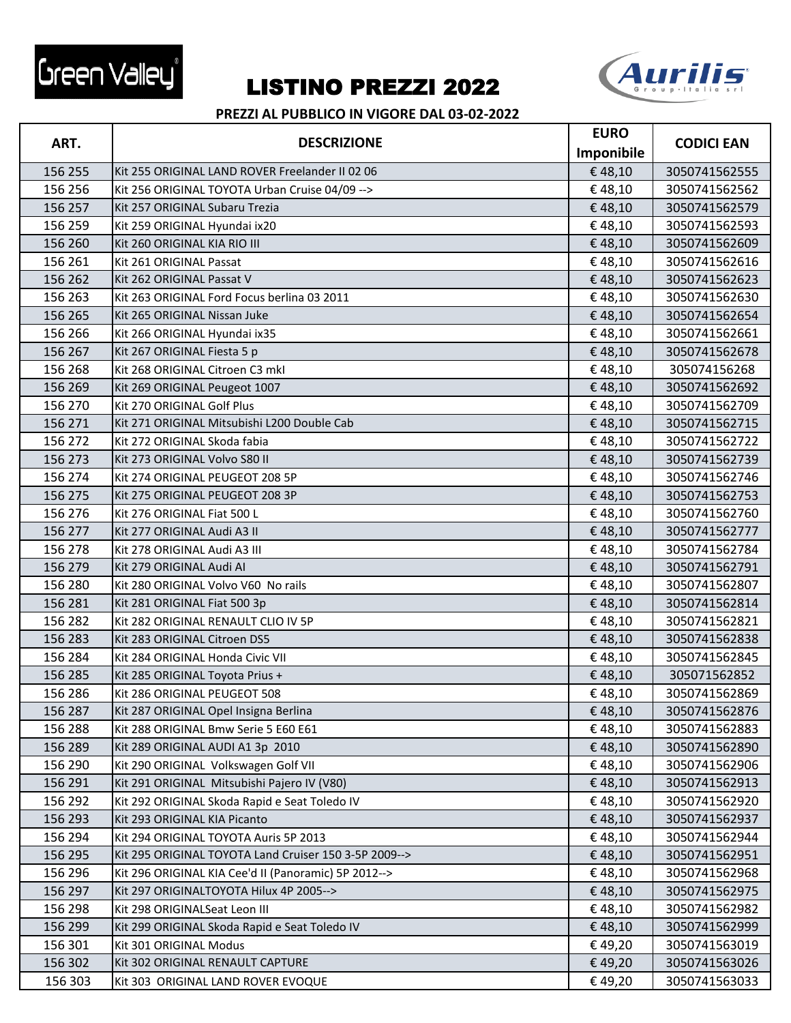



| ART.    | <b>DESCRIZIONE</b>                                    | <b>EURO</b> |                   |
|---------|-------------------------------------------------------|-------------|-------------------|
|         |                                                       | Imponibile  | <b>CODICI EAN</b> |
| 156 255 | Kit 255 ORIGINAL LAND ROVER Freelander II 02 06       | €48,10      | 3050741562555     |
| 156 256 | Kit 256 ORIGINAL TOYOTA Urban Cruise 04/09 -->        | €48,10      | 3050741562562     |
| 156 257 | Kit 257 ORIGINAL Subaru Trezia                        | €48,10      | 3050741562579     |
| 156 259 | Kit 259 ORIGINAL Hyundai ix20                         | €48,10      | 3050741562593     |
| 156 260 | Kit 260 ORIGINAL KIA RIO III                          | €48,10      | 3050741562609     |
| 156 261 | Kit 261 ORIGINAL Passat                               | €48,10      | 3050741562616     |
| 156 262 | Kit 262 ORIGINAL Passat V                             | €48,10      | 3050741562623     |
| 156 263 | Kit 263 ORIGINAL Ford Focus berlina 03 2011           | €48,10      | 3050741562630     |
| 156 265 | Kit 265 ORIGINAL Nissan Juke                          | €48,10      | 3050741562654     |
| 156 266 | Kit 266 ORIGINAL Hyundai ix35                         | €48,10      | 3050741562661     |
| 156 267 | Kit 267 ORIGINAL Fiesta 5 p                           | €48,10      | 3050741562678     |
| 156 268 | Kit 268 ORIGINAL Citroen C3 mkl                       | €48,10      | 305074156268      |
| 156 269 | Kit 269 ORIGINAL Peugeot 1007                         | €48,10      | 3050741562692     |
| 156 270 | Kit 270 ORIGINAL Golf Plus                            | €48,10      | 3050741562709     |
| 156 271 | Kit 271 ORIGINAL Mitsubishi L200 Double Cab           | €48,10      | 3050741562715     |
| 156 272 | Kit 272 ORIGINAL Skoda fabia                          | €48,10      | 3050741562722     |
| 156 273 | Kit 273 ORIGINAL Volvo S80 II                         | €48,10      | 3050741562739     |
| 156 274 | Kit 274 ORIGINAL PEUGEOT 208 5P                       | €48,10      | 3050741562746     |
| 156 275 | Kit 275 ORIGINAL PEUGEOT 208 3P                       | €48,10      | 3050741562753     |
| 156 276 | Kit 276 ORIGINAL Fiat 500 L                           | €48,10      | 3050741562760     |
| 156 277 | Kit 277 ORIGINAL Audi A3 II                           | €48,10      | 3050741562777     |
| 156 278 | Kit 278 ORIGINAL Audi A3 III                          | €48,10      | 3050741562784     |
| 156 279 | Kit 279 ORIGINAL Audi AI                              | €48,10      | 3050741562791     |
| 156 280 | Kit 280 ORIGINAL Volvo V60 No rails                   | €48,10      | 3050741562807     |
| 156 281 | Kit 281 ORIGINAL Fiat 500 3p                          | €48,10      | 3050741562814     |
| 156 282 | Kit 282 ORIGINAL RENAULT CLIO IV 5P                   | €48,10      | 3050741562821     |
| 156 283 | Kit 283 ORIGINAL Citroen DS5                          | €48,10      | 3050741562838     |
| 156 284 | Kit 284 ORIGINAL Honda Civic VII                      | €48,10      | 3050741562845     |
| 156 285 | Kit 285 ORIGINAL Toyota Prius +                       | €48,10      | 305071562852      |
| 156 286 | Kit 286 ORIGINAL PEUGEOT 508                          | €48,10      | 3050741562869     |
| 156 287 | Kit 287 ORIGINAL Opel Insigna Berlina                 | €48,10      | 3050741562876     |
| 156 288 | Kit 288 ORIGINAL Bmw Serie 5 E60 E61                  | €48,10      | 3050741562883     |
| 156 289 | Kit 289 ORIGINAL AUDI A1 3p 2010                      | €48,10      | 3050741562890     |
| 156 290 | Kit 290 ORIGINAL Volkswagen Golf VII                  | €48,10      | 3050741562906     |
| 156 291 | Kit 291 ORIGINAL Mitsubishi Pajero IV (V80)           | €48,10      | 3050741562913     |
| 156 292 | Kit 292 ORIGINAL Skoda Rapid e Seat Toledo IV         | €48,10      | 3050741562920     |
| 156 293 | Kit 293 ORIGINAL KIA Picanto                          | €48,10      | 3050741562937     |
| 156 294 | Kit 294 ORIGINAL TOYOTA Auris 5P 2013                 | €48,10      | 3050741562944     |
| 156 295 | Kit 295 ORIGINAL TOYOTA Land Cruiser 150 3-5P 2009--> | €48,10      | 3050741562951     |
| 156 296 | Kit 296 ORIGINAL KIA Cee'd II (Panoramic) 5P 2012-->  | €48,10      | 3050741562968     |
| 156 297 | Kit 297 ORIGINALTOYOTA Hilux 4P 2005-->               | €48,10      | 3050741562975     |
| 156 298 | Kit 298 ORIGINALSeat Leon III                         | €48,10      | 3050741562982     |
| 156 299 | Kit 299 ORIGINAL Skoda Rapid e Seat Toledo IV         | €48,10      | 3050741562999     |
| 156 301 | Kit 301 ORIGINAL Modus                                | €49,20      | 3050741563019     |
| 156 302 | Kit 302 ORIGINAL RENAULT CAPTURE                      | €49,20      | 3050741563026     |
| 156 303 | Kit 303 ORIGINAL LAND ROVER EVOQUE                    | €49,20      | 3050741563033     |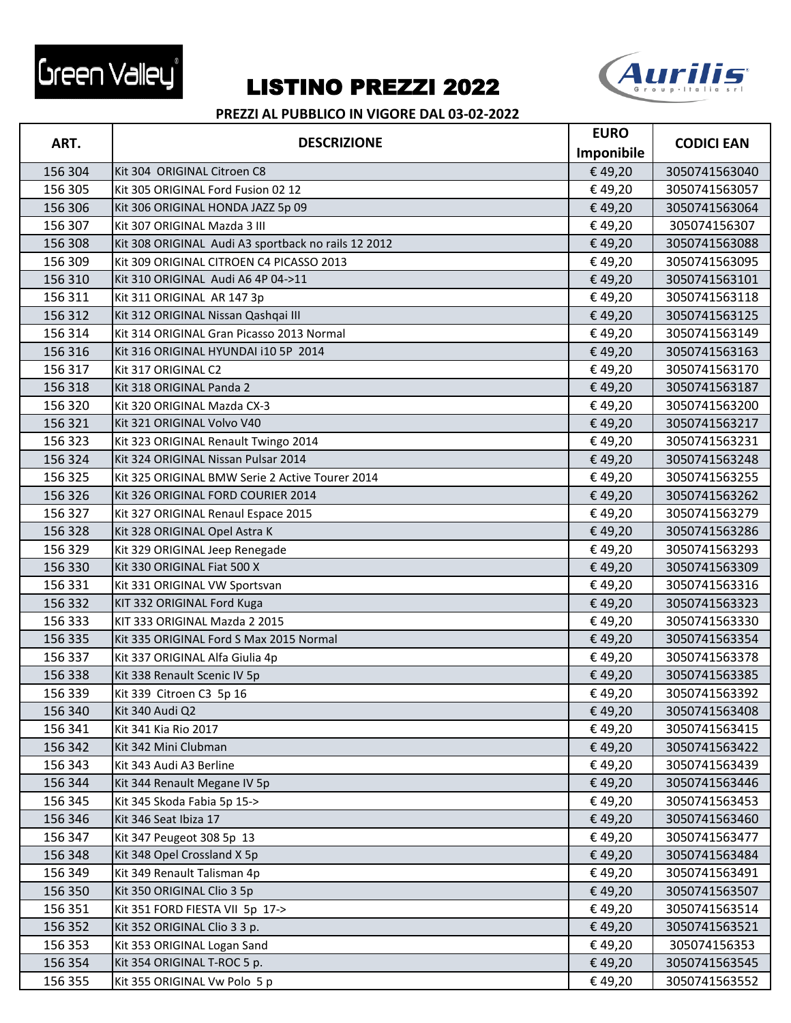



|         | <b>DESCRIZIONE</b>                                  | <b>EURO</b> |                   |
|---------|-----------------------------------------------------|-------------|-------------------|
| ART.    |                                                     | Imponibile  | <b>CODICI EAN</b> |
| 156 304 | Kit 304 ORIGINAL Citroen C8                         | €49,20      | 3050741563040     |
| 156 305 | Kit 305 ORIGINAL Ford Fusion 02 12                  | €49,20      | 3050741563057     |
| 156 306 | Kit 306 ORIGINAL HONDA JAZZ 5p 09                   | €49,20      | 3050741563064     |
| 156 307 | Kit 307 ORIGINAL Mazda 3 III                        | €49,20      | 305074156307      |
| 156 308 | Kit 308 ORIGINAL Audi A3 sportback no rails 12 2012 | €49,20      | 3050741563088     |
| 156 309 | Kit 309 ORIGINAL CITROEN C4 PICASSO 2013            | €49,20      | 3050741563095     |
| 156 310 | Kit 310 ORIGINAL Audi A6 4P 04->11                  | €49,20      | 3050741563101     |
| 156 311 | Kit 311 ORIGINAL AR 147 3p                          | €49,20      | 3050741563118     |
| 156 312 | Kit 312 ORIGINAL Nissan Qashqai III                 | €49,20      | 3050741563125     |
| 156 314 | Kit 314 ORIGINAL Gran Picasso 2013 Normal           | €49,20      | 3050741563149     |
| 156 316 | Kit 316 ORIGINAL HYUNDAI i10 5P 2014                | €49,20      | 3050741563163     |
| 156 317 | Kit 317 ORIGINAL C2                                 | €49,20      | 3050741563170     |
| 156 318 | Kit 318 ORIGINAL Panda 2                            | €49,20      | 3050741563187     |
| 156 320 | Kit 320 ORIGINAL Mazda CX-3                         | €49,20      | 3050741563200     |
| 156 321 | Kit 321 ORIGINAL Volvo V40                          | €49,20      | 3050741563217     |
| 156 323 | Kit 323 ORIGINAL Renault Twingo 2014                | €49,20      | 3050741563231     |
| 156 324 | Kit 324 ORIGINAL Nissan Pulsar 2014                 | €49,20      | 3050741563248     |
| 156 325 | Kit 325 ORIGINAL BMW Serie 2 Active Tourer 2014     | €49,20      | 3050741563255     |
| 156 326 | Kit 326 ORIGINAL FORD COURIER 2014                  | €49,20      | 3050741563262     |
| 156 327 | Kit 327 ORIGINAL Renaul Espace 2015                 | €49,20      | 3050741563279     |
| 156 328 | Kit 328 ORIGINAL Opel Astra K                       | €49,20      | 3050741563286     |
| 156 329 | Kit 329 ORIGINAL Jeep Renegade                      | €49,20      | 3050741563293     |
| 156 330 | Kit 330 ORIGINAL Fiat 500 X                         | €49,20      | 3050741563309     |
| 156 331 | Kit 331 ORIGINAL VW Sportsvan                       | €49,20      | 3050741563316     |
| 156 332 | KIT 332 ORIGINAL Ford Kuga                          | €49,20      | 3050741563323     |
| 156 333 | KIT 333 ORIGINAL Mazda 2 2015                       | €49,20      | 3050741563330     |
| 156 335 | Kit 335 ORIGINAL Ford S Max 2015 Normal             | €49,20      | 3050741563354     |
| 156 337 | Kit 337 ORIGINAL Alfa Giulia 4p                     | €49,20      | 3050741563378     |
| 156 338 | Kit 338 Renault Scenic IV 5p                        | €49,20      | 3050741563385     |
| 156 339 | Kit 339 Citroen C3 5p 16                            | €49,20      | 3050741563392     |
| 156 340 | Kit 340 Audi Q2                                     | €49,20      | 3050741563408     |
| 156 341 | Kit 341 Kia Rio 2017                                | €49,20      | 3050741563415     |
| 156 342 | Kit 342 Mini Clubman                                | € 49,20     | 3050741563422     |
| 156 343 | Kit 343 Audi A3 Berline                             | €49,20      | 3050741563439     |
| 156 344 | Kit 344 Renault Megane IV 5p                        | €49,20      | 3050741563446     |
| 156 345 | Kit 345 Skoda Fabia 5p 15->                         | €49,20      | 3050741563453     |
| 156 346 | Kit 346 Seat Ibiza 17                               | €49,20      | 3050741563460     |
| 156 347 | Kit 347 Peugeot 308 5p 13                           | €49,20      | 3050741563477     |
| 156 348 | Kit 348 Opel Crossland X 5p                         | € 49,20     | 3050741563484     |
| 156 349 | Kit 349 Renault Talisman 4p                         | €49,20      | 3050741563491     |
| 156 350 | Kit 350 ORIGINAL Clio 3 5p                          | €49,20      | 3050741563507     |
| 156 351 | Kit 351 FORD FIESTA VII 5p 17->                     | €49,20      | 3050741563514     |
| 156 352 | Kit 352 ORIGINAL Clio 3 3 p.                        | €49,20      | 3050741563521     |
| 156 353 | Kit 353 ORIGINAL Logan Sand                         | €49,20      | 305074156353      |
| 156 354 | Kit 354 ORIGINAL T-ROC 5 p.                         | €49,20      | 3050741563545     |
| 156 355 | Kit 355 ORIGINAL Vw Polo 5 p                        | €49,20      | 3050741563552     |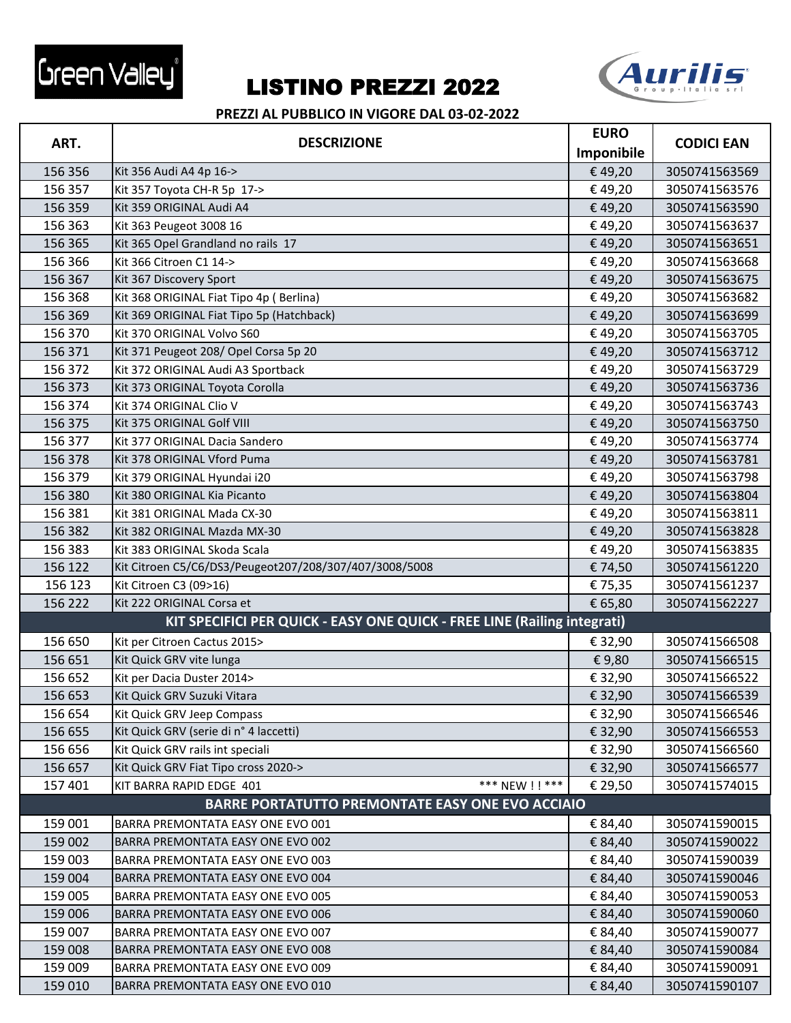



| ART.                                                                     | <b>DESCRIZIONE</b>                                      | <b>EURO</b> | <b>CODICI EAN</b> |
|--------------------------------------------------------------------------|---------------------------------------------------------|-------------|-------------------|
|                                                                          |                                                         | Imponibile  |                   |
| 156 356                                                                  | Kit 356 Audi A4 4p 16->                                 | €49,20      | 3050741563569     |
| 156 357                                                                  | Kit 357 Toyota CH-R 5p 17->                             | €49,20      | 3050741563576     |
| 156 359                                                                  | Kit 359 ORIGINAL Audi A4                                | €49,20      | 3050741563590     |
| 156 363                                                                  | Kit 363 Peugeot 3008 16                                 | €49,20      | 3050741563637     |
| 156 365                                                                  | Kit 365 Opel Grandland no rails 17                      | €49,20      | 3050741563651     |
| 156 366                                                                  | Kit 366 Citroen C1 14->                                 | €49,20      | 3050741563668     |
| 156 367                                                                  | Kit 367 Discovery Sport                                 | €49,20      | 3050741563675     |
| 156 368                                                                  | Kit 368 ORIGINAL Fiat Tipo 4p (Berlina)                 | €49,20      | 3050741563682     |
| 156 369                                                                  | Kit 369 ORIGINAL Fiat Tipo 5p (Hatchback)               | €49,20      | 3050741563699     |
| 156 370                                                                  | Kit 370 ORIGINAL Volvo S60                              | €49,20      | 3050741563705     |
| 156 371                                                                  | Kit 371 Peugeot 208/ Opel Corsa 5p 20                   | €49,20      | 3050741563712     |
| 156 372                                                                  | Kit 372 ORIGINAL Audi A3 Sportback                      | €49,20      | 3050741563729     |
| 156 373                                                                  | Kit 373 ORIGINAL Toyota Corolla                         | €49,20      | 3050741563736     |
| 156 374                                                                  | Kit 374 ORIGINAL Clio V                                 | €49,20      | 3050741563743     |
| 156 375                                                                  | Kit 375 ORIGINAL Golf VIII                              | €49,20      | 3050741563750     |
| 156 377                                                                  | Kit 377 ORIGINAL Dacia Sandero                          | €49,20      | 3050741563774     |
| 156 378                                                                  | Kit 378 ORIGINAL Vford Puma                             | €49,20      | 3050741563781     |
| 156 379                                                                  | Kit 379 ORIGINAL Hyundai i20                            | €49,20      | 3050741563798     |
| 156 380                                                                  | Kit 380 ORIGINAL Kia Picanto                            | €49,20      | 3050741563804     |
| 156 381                                                                  | Kit 381 ORIGINAL Mada CX-30                             | €49,20      | 3050741563811     |
| 156 382                                                                  | Kit 382 ORIGINAL Mazda MX-30                            | €49,20      | 3050741563828     |
| 156 383                                                                  | Kit 383 ORIGINAL Skoda Scala                            | €49,20      | 3050741563835     |
| 156 122                                                                  | Kit Citroen C5/C6/DS3/Peugeot207/208/307/407/3008/5008  | €74,50      | 3050741561220     |
| 156 123                                                                  | Kit Citroen C3 (09>16)                                  | €75,35      | 3050741561237     |
| 156 222                                                                  | Kit 222 ORIGINAL Corsa et                               | € 65,80     | 3050741562227     |
| KIT SPECIFICI PER QUICK - EASY ONE QUICK - FREE LINE (Railing integrati) |                                                         |             |                   |
| 156 650                                                                  | Kit per Citroen Cactus 2015>                            | € 32,90     | 3050741566508     |
| 156 651                                                                  | Kit Quick GRV vite lunga                                | €9,80       | 3050741566515     |
| 156 652                                                                  | Kit per Dacia Duster 2014>                              | € 32,90     | 3050741566522     |
| 156 653                                                                  | Kit Quick GRV Suzuki Vitara                             | € 32,90     | 3050741566539     |
| 156 654                                                                  | Kit Quick GRV Jeep Compass                              | € 32,90     | 3050741566546     |
| 156 655                                                                  | Kit Quick GRV (serie di n° 4 laccetti)                  | € 32,90     | 3050741566553     |
| 156 656                                                                  | Kit Quick GRV rails int speciali                        | € 32,90     | 3050741566560     |
| 156 657                                                                  | Kit Quick GRV Fiat Tipo cross 2020->                    | € 32,90     | 3050741566577     |
| 157 401                                                                  | *** NEW ! ! ***<br>KIT BARRA RAPID EDGE 401             | € 29,50     | 3050741574015     |
|                                                                          | <b>BARRE PORTATUTTO PREMONTATE EASY ONE EVO ACCIAIO</b> |             |                   |
| 159 001                                                                  | BARRA PREMONTATA EASY ONE EVO 001                       | € 84,40     | 3050741590015     |
| 159 002                                                                  | BARRA PREMONTATA EASY ONE EVO 002                       | € 84,40     | 3050741590022     |
| 159 003                                                                  | BARRA PREMONTATA EASY ONE EVO 003                       | € 84,40     | 3050741590039     |
| 159 004                                                                  | BARRA PREMONTATA EASY ONE EVO 004                       | € 84,40     | 3050741590046     |
| 159 005                                                                  | BARRA PREMONTATA EASY ONE EVO 005                       | € 84,40     | 3050741590053     |
| 159 006                                                                  | BARRA PREMONTATA EASY ONE EVO 006                       | € 84,40     | 3050741590060     |
| 159 007                                                                  | BARRA PREMONTATA EASY ONE EVO 007                       | € 84,40     | 3050741590077     |
|                                                                          | BARRA PREMONTATA EASY ONE EVO 008                       |             |                   |
| 159 008                                                                  |                                                         | € 84,40     | 3050741590084     |
| 159 009                                                                  | BARRA PREMONTATA EASY ONE EVO 009                       | € 84,40     | 3050741590091     |
| 159 010                                                                  | BARRA PREMONTATA EASY ONE EVO 010                       | € 84,40     | 3050741590107     |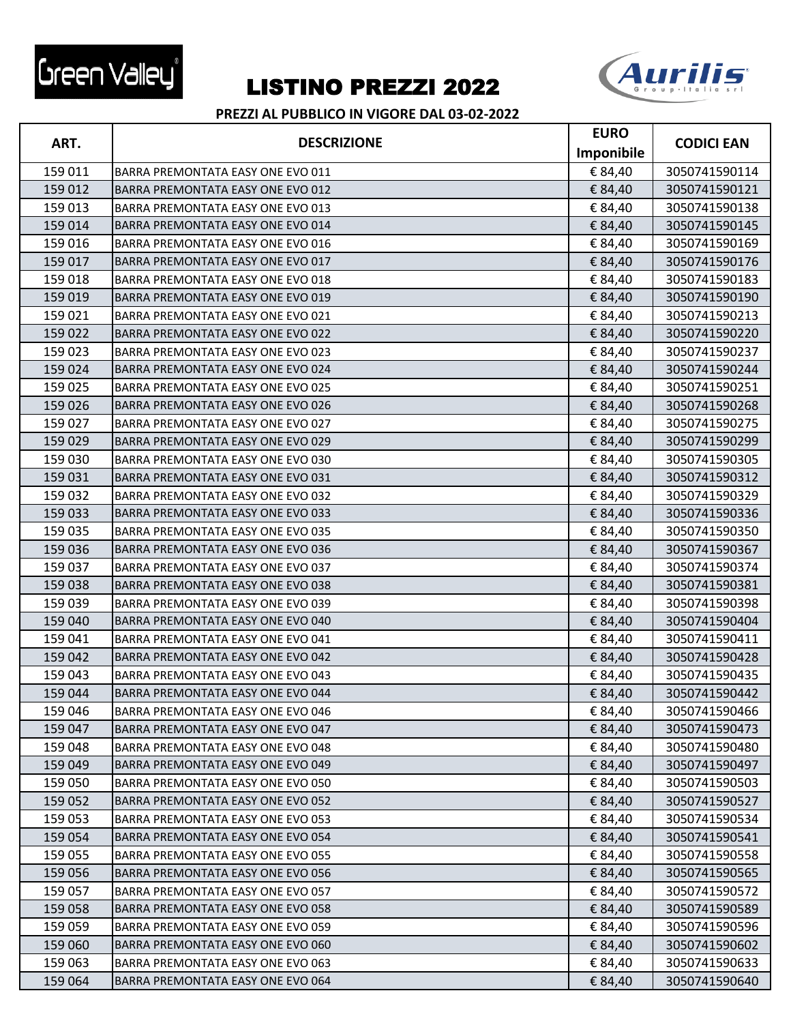



|         |                                          | <b>EURO</b> |                   |
|---------|------------------------------------------|-------------|-------------------|
| ART.    | <b>DESCRIZIONE</b>                       | Imponibile  | <b>CODICI EAN</b> |
| 159 011 | BARRA PREMONTATA EASY ONE EVO 011        | € 84,40     | 3050741590114     |
| 159 012 | <b>BARRA PREMONTATA EASY ONE EVO 012</b> | € 84,40     | 3050741590121     |
| 159 013 | BARRA PREMONTATA EASY ONE EVO 013        | € 84,40     | 3050741590138     |
| 159 014 | BARRA PREMONTATA EASY ONE EVO 014        | € 84,40     | 3050741590145     |
| 159 016 | <b>BARRA PREMONTATA EASY ONE EVO 016</b> | € 84,40     | 3050741590169     |
| 159 017 | BARRA PREMONTATA EASY ONE EVO 017        | € 84,40     | 3050741590176     |
| 159 018 | <b>BARRA PREMONTATA EASY ONE EVO 018</b> | € 84,40     | 3050741590183     |
| 159 019 | BARRA PREMONTATA EASY ONE EVO 019        | € 84,40     | 3050741590190     |
| 159 021 | BARRA PREMONTATA EASY ONE EVO 021        | € 84,40     | 3050741590213     |
| 159 022 | <b>BARRA PREMONTATA EASY ONE EVO 022</b> | € 84,40     | 3050741590220     |
| 159 023 | <b>BARRA PREMONTATA EASY ONE EVO 023</b> | € 84,40     | 3050741590237     |
| 159 024 | BARRA PREMONTATA EASY ONE EVO 024        | € 84,40     | 3050741590244     |
| 159 025 | <b>BARRA PREMONTATA EASY ONE EVO 025</b> | € 84,40     | 3050741590251     |
| 159 026 | BARRA PREMONTATA EASY ONE EVO 026        | € 84,40     | 3050741590268     |
| 159 027 | BARRA PREMONTATA EASY ONE EVO 027        | € 84,40     | 3050741590275     |
| 159 029 | BARRA PREMONTATA EASY ONE EVO 029        | € 84,40     | 3050741590299     |
| 159 030 | BARRA PREMONTATA EASY ONE EVO 030        | € 84,40     | 3050741590305     |
| 159 031 | BARRA PREMONTATA EASY ONE EVO 031        | € 84,40     | 3050741590312     |
| 159 032 | BARRA PREMONTATA EASY ONE EVO 032        | € 84,40     | 3050741590329     |
| 159 033 | BARRA PREMONTATA EASY ONE EVO 033        | € 84,40     | 3050741590336     |
| 159 035 | BARRA PREMONTATA EASY ONE EVO 035        | € 84,40     | 3050741590350     |
| 159 036 | <b>BARRA PREMONTATA EASY ONE EVO 036</b> | € 84,40     | 3050741590367     |
| 159 037 | <b>BARRA PREMONTATA EASY ONE EVO 037</b> | € 84,40     | 3050741590374     |
| 159 038 | BARRA PREMONTATA EASY ONE EVO 038        | € 84,40     | 3050741590381     |
| 159 039 | BARRA PREMONTATA EASY ONE EVO 039        | € 84,40     | 3050741590398     |
| 159 040 | BARRA PREMONTATA EASY ONE EVO 040        | € 84,40     | 3050741590404     |
| 159 041 | <b>BARRA PREMONTATA EASY ONE EVO 041</b> | € 84,40     | 3050741590411     |
| 159 042 | BARRA PREMONTATA EASY ONE EVO 042        | € 84,40     | 3050741590428     |
| 159 043 | <b>BARRA PREMONTATA EASY ONE EVO 043</b> | € 84,40     | 3050741590435     |
| 159 044 | BARRA PREMONTATA EASY ONE EVO 044        | € 84,40     | 3050741590442     |
| 159 046 | BARRA PREMONTATA EASY ONE EVO 046        | € 84,40     | 3050741590466     |
| 159 047 | <b>BARRA PREMONTATA EASY ONE EVO 047</b> | € 84,40     | 3050741590473     |
| 159 048 | BARRA PREMONTATA EASY ONE EVO 048        | € 84,40     | 3050741590480     |
| 159 049 | BARRA PREMONTATA EASY ONE EVO 049        | € 84,40     | 3050741590497     |
| 159 050 | BARRA PREMONTATA EASY ONE EVO 050        | € 84,40     | 3050741590503     |
| 159 052 | BARRA PREMONTATA EASY ONE EVO 052        | € 84,40     | 3050741590527     |
| 159 053 | BARRA PREMONTATA EASY ONE EVO 053        | € 84,40     | 3050741590534     |
| 159 054 | BARRA PREMONTATA EASY ONE EVO 054        | € 84,40     | 3050741590541     |
| 159 055 | BARRA PREMONTATA EASY ONE EVO 055        | € 84,40     | 3050741590558     |
| 159 056 | BARRA PREMONTATA EASY ONE EVO 056        | € 84,40     | 3050741590565     |
| 159 057 | <b>BARRA PREMONTATA EASY ONE EVO 057</b> | € 84,40     | 3050741590572     |
| 159 058 | BARRA PREMONTATA EASY ONE EVO 058        | € 84,40     | 3050741590589     |
| 159 059 | BARRA PREMONTATA EASY ONE EVO 059        | € 84,40     | 3050741590596     |
| 159 060 | BARRA PREMONTATA EASY ONE EVO 060        | € 84,40     | 3050741590602     |
| 159 063 | BARRA PREMONTATA EASY ONE EVO 063        | € 84,40     | 3050741590633     |
| 159 064 | BARRA PREMONTATA EASY ONE EVO 064        | € 84,40     | 3050741590640     |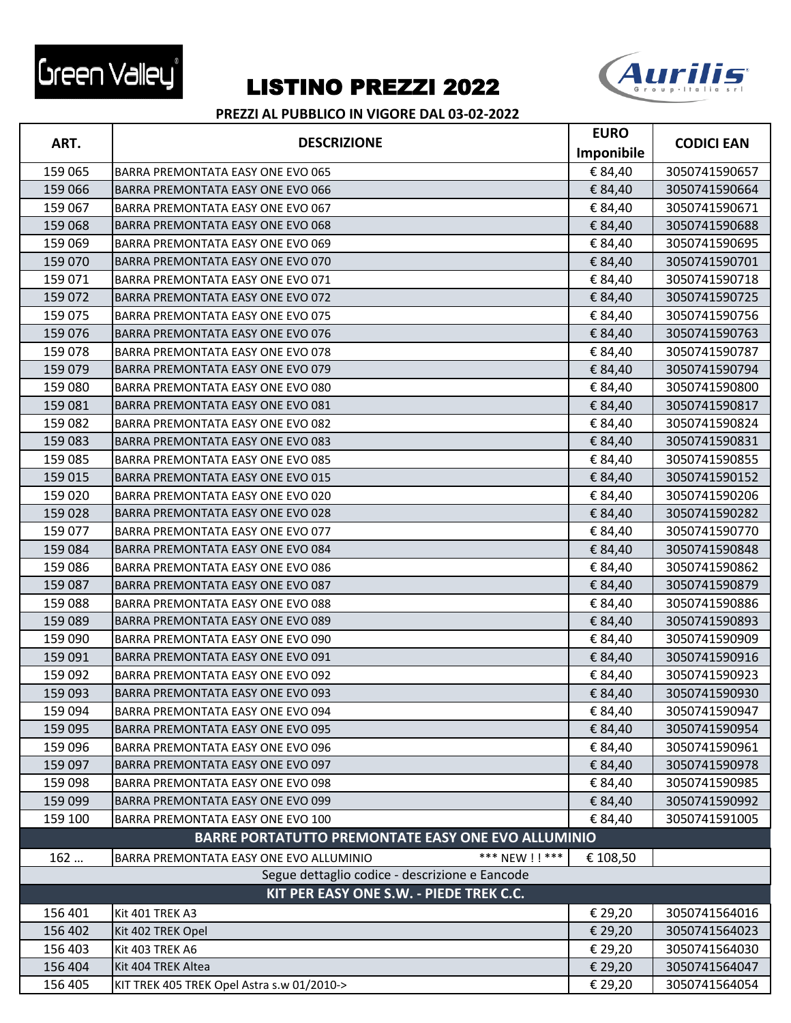



|                                         | <b>DESCRIZIONE</b>                                         | <b>EURO</b> |                   |
|-----------------------------------------|------------------------------------------------------------|-------------|-------------------|
| ART.                                    |                                                            | Imponibile  | <b>CODICI EAN</b> |
| 159 065                                 | BARRA PREMONTATA EASY ONE EVO 065                          | € 84,40     | 3050741590657     |
| 159 066                                 | <b>BARRA PREMONTATA EASY ONE EVO 066</b>                   | € 84,40     | 3050741590664     |
| 159 067                                 | BARRA PREMONTATA EASY ONE EVO 067                          | € 84,40     | 3050741590671     |
| 159 068                                 | BARRA PREMONTATA EASY ONE EVO 068                          | € 84,40     | 3050741590688     |
| 159 069                                 | <b>BARRA PREMONTATA EASY ONE EVO 069</b>                   | € 84,40     | 3050741590695     |
| 159 070                                 | BARRA PREMONTATA EASY ONE EVO 070                          | € 84,40     | 3050741590701     |
| 159 071                                 | <b>BARRA PREMONTATA EASY ONE EVO 071</b>                   | € 84,40     | 3050741590718     |
| 159 072                                 | BARRA PREMONTATA EASY ONE EVO 072                          | € 84,40     | 3050741590725     |
| 159 075                                 | BARRA PREMONTATA EASY ONE EVO 075                          | € 84,40     | 3050741590756     |
| 159 076                                 | <b>BARRA PREMONTATA EASY ONE EVO 076</b>                   | € 84,40     | 3050741590763     |
| 159 078                                 | BARRA PREMONTATA EASY ONE EVO 078                          | € 84,40     | 3050741590787     |
| 159 079                                 | BARRA PREMONTATA EASY ONE EVO 079                          | € 84,40     | 3050741590794     |
| 159 080                                 | BARRA PREMONTATA EASY ONE EVO 080                          | € 84,40     | 3050741590800     |
| 159 081                                 | <b>BARRA PREMONTATA EASY ONE EVO 081</b>                   | € 84,40     | 3050741590817     |
| 159 082                                 | BARRA PREMONTATA EASY ONE EVO 082                          | € 84,40     | 3050741590824     |
| 159 083                                 | BARRA PREMONTATA EASY ONE EVO 083                          | € 84,40     | 3050741590831     |
| 159 085                                 | <b>BARRA PREMONTATA EASY ONE EVO 085</b>                   | € 84,40     | 3050741590855     |
| 159 015                                 | BARRA PREMONTATA EASY ONE EVO 015                          | € 84,40     | 3050741590152     |
| 159 020                                 | BARRA PREMONTATA EASY ONE EVO 020                          | € 84,40     | 3050741590206     |
| 159 028                                 | BARRA PREMONTATA EASY ONE EVO 028                          | € 84,40     | 3050741590282     |
| 159 077                                 | BARRA PREMONTATA EASY ONE EVO 077                          | € 84,40     | 3050741590770     |
| 159 084                                 | BARRA PREMONTATA EASY ONE EVO 084                          | € 84,40     | 3050741590848     |
| 159 086                                 | BARRA PREMONTATA EASY ONE EVO 086                          | € 84,40     | 3050741590862     |
| 159 087                                 | BARRA PREMONTATA EASY ONE EVO 087                          | € 84,40     | 3050741590879     |
| 159 088                                 | BARRA PREMONTATA EASY ONE EVO 088                          | € 84,40     | 3050741590886     |
| 159 089                                 | BARRA PREMONTATA EASY ONE EVO 089                          | € 84,40     | 3050741590893     |
| 159 090                                 | BARRA PREMONTATA EASY ONE EVO 090                          | € 84,40     | 3050741590909     |
| 159 091                                 | BARRA PREMONTATA EASY ONE EVO 091                          | € 84,40     | 3050741590916     |
| 159 092                                 | BARRA PREMONTATA EASY ONE EVO 092                          | € 84,40     | 3050741590923     |
| 159 093                                 | <b>BARRA PREMONTATA EASY ONE EVO 093</b>                   | € 84,40     | 3050741590930     |
| 159 094                                 | BARRA PREMONTATA EASY ONE EVO 094                          | € 84,40     | 3050741590947     |
| 159 095                                 | <b>BARRA PREMONTATA EASY ONE EVO 095</b>                   | € 84,40     | 3050741590954     |
| 159 096                                 | BARRA PREMONTATA EASY ONE EVO 096                          | € 84,40     | 3050741590961     |
| 159 097                                 | BARRA PREMONTATA EASY ONE EVO 097                          | € 84,40     | 3050741590978     |
| 159 098                                 | BARRA PREMONTATA EASY ONE EVO 098                          | € 84,40     | 3050741590985     |
| 159 099                                 | <b>BARRA PREMONTATA EASY ONE EVO 099</b>                   | € 84,40     | 3050741590992     |
| 159 100                                 | BARRA PREMONTATA EASY ONE EVO 100                          | € 84,40     | 3050741591005     |
|                                         | <b>BARRE PORTATUTTO PREMONTATE EASY ONE EVO ALLUMINIO</b>  |             |                   |
| 162                                     | *** NEW ! ! ***<br>BARRA PREMONTATA EASY ONE EVO ALLUMINIO | € 108,50    |                   |
|                                         | Segue dettaglio codice - descrizione e Eancode             |             |                   |
| KIT PER EASY ONE S.W. - PIEDE TREK C.C. |                                                            |             |                   |
| 156 401                                 |                                                            |             |                   |
|                                         | Kit 401 TREK A3                                            | € 29,20     | 3050741564016     |
| 156 402                                 | Kit 402 TREK Opel                                          | € 29,20     | 3050741564023     |
| 156 403                                 | Kit 403 TREK A6                                            | € 29,20     | 3050741564030     |
| 156 404                                 | Kit 404 TREK Altea                                         | € 29,20     | 3050741564047     |
| 156 405                                 | KIT TREK 405 TREK Opel Astra s.w 01/2010->                 | € 29,20     | 3050741564054     |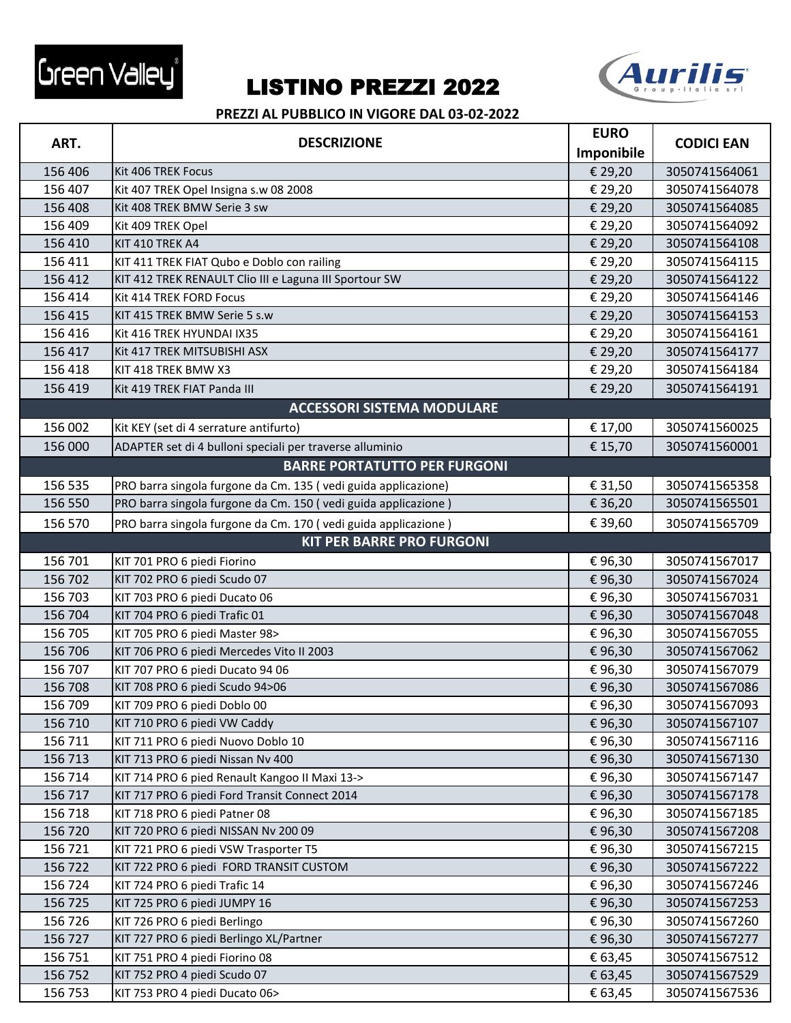



| ART.    | <b>DESCRIZIONE</b>                                             | <b>EURO</b> |                   |
|---------|----------------------------------------------------------------|-------------|-------------------|
|         |                                                                | Imponibile  | <b>CODICI EAN</b> |
| 156 406 | Kit 406 TREK Focus                                             | € 29,20     | 3050741564061     |
| 156 407 | Kit 407 TREK Opel Insigna s.w 08 2008                          | € 29,20     | 3050741564078     |
| 156 408 | Kit 408 TREK BMW Serie 3 sw                                    | € 29,20     | 3050741564085     |
| 156 409 | Kit 409 TREK Opel                                              | € 29,20     | 3050741564092     |
| 156 410 | KIT 410 TREK A4                                                | € 29,20     | 3050741564108     |
| 156 411 | KIT 411 TREK FIAT Qubo e Doblo con railing                     | € 29,20     | 3050741564115     |
| 156 412 | KIT 412 TREK RENAULT Clio III e Laguna III Sportour SW         | € 29,20     | 3050741564122     |
| 156 414 | Kit 414 TREK FORD Focus                                        | € 29,20     | 3050741564146     |
| 156 415 | KIT 415 TREK BMW Serie 5 s.w                                   | € 29,20     | 3050741564153     |
| 156 416 | Kit 416 TREK HYUNDAI IX35                                      | € 29,20     | 3050741564161     |
| 156 417 | Kit 417 TREK MITSUBISHI ASX                                    | € 29,20     | 3050741564177     |
| 156 418 | KIT 418 TREK BMW X3                                            | € 29,20     | 3050741564184     |
| 156 419 | Kit 419 TREK FIAT Panda III                                    | € 29,20     | 3050741564191     |
|         | <b>ACCESSORI SISTEMA MODULARE</b>                              |             |                   |
| 156 002 | Kit KEY (set di 4 serrature antifurto)                         | € 17,00     | 3050741560025     |
| 156 000 | ADAPTER set di 4 bulloni speciali per traverse alluminio       | € 15,70     | 3050741560001     |
|         | <b>BARRE PORTATUTTO PER FURGONI</b>                            |             |                   |
| 156 535 | PRO barra singola furgone da Cm. 135 (vedi guida applicazione) | € 31,50     | 3050741565358     |
| 156 550 | PRO barra singola furgone da Cm. 150 (vedi guida applicazione) | € 36,20     | 3050741565501     |
| 156 570 | PRO barra singola furgone da Cm. 170 (vedi guida applicazione) | € 39,60     | 3050741565709     |
|         | <b>KIT PER BARRE PRO FURGONI</b>                               |             |                   |
| 156 701 | KIT 701 PRO 6 piedi Fiorino                                    | €96,30      | 3050741567017     |
| 156 702 | KIT 702 PRO 6 piedi Scudo 07                                   | €96,30      | 3050741567024     |
| 156 703 | KIT 703 PRO 6 piedi Ducato 06                                  | €96,30      | 3050741567031     |
| 156 704 | KIT 704 PRO 6 piedi Trafic 01                                  | €96,30      | 3050741567048     |
| 156 705 | KIT 705 PRO 6 piedi Master 98>                                 | €96,30      | 3050741567055     |
| 156 706 | KIT 706 PRO 6 piedi Mercedes Vito II 2003                      | €96,30      | 3050741567062     |
| 156 707 | KIT 707 PRO 6 piedi Ducato 94 06                               | €96,30      | 3050741567079     |
| 156 708 | KIT 708 PRO 6 piedi Scudo 94>06                                | €96,30      | 3050741567086     |
| 156 709 | KIT 709 PRO 6 piedi Doblo 00                                   | €96,30      | 3050741567093     |
| 156 710 | KIT 710 PRO 6 piedi VW Caddy                                   | €96,30      | 3050741567107     |
| 156 711 | KIT 711 PRO 6 piedi Nuovo Doblo 10                             | €96,30      | 3050741567116     |
| 156 713 | KIT 713 PRO 6 piedi Nissan Nv 400                              | €96,30      | 3050741567130     |
| 156 714 | KIT 714 PRO 6 pied Renault Kangoo II Maxi 13->                 | €96,30      | 3050741567147     |
| 156 717 | KIT 717 PRO 6 piedi Ford Transit Connect 2014                  | €96,30      | 3050741567178     |
| 156 718 | KIT 718 PRO 6 piedi Patner 08                                  | €96,30      | 3050741567185     |
| 156 720 | KIT 720 PRO 6 piedi NISSAN Nv 200 09                           | €96,30      | 3050741567208     |
| 156 721 | KIT 721 PRO 6 piedi VSW Trasporter T5                          | €96,30      | 3050741567215     |
| 156 722 | KIT 722 PRO 6 piedi FORD TRANSIT CUSTOM                        | €96,30      | 3050741567222     |
| 156 724 | KIT 724 PRO 6 piedi Trafic 14                                  | €96,30      | 3050741567246     |
| 156 725 | KIT 725 PRO 6 piedi JUMPY 16                                   | €96,30      | 3050741567253     |
| 156 726 | KIT 726 PRO 6 piedi Berlingo                                   | €96,30      | 3050741567260     |
| 156 727 | KIT 727 PRO 6 piedi Berlingo XL/Partner                        | €96,30      | 3050741567277     |
| 156 751 | KIT 751 PRO 4 piedi Fiorino 08                                 | € 63,45     | 3050741567512     |
| 156 752 | KIT 752 PRO 4 piedi Scudo 07                                   | € 63,45     | 3050741567529     |
| 156 753 | KIT 753 PRO 4 piedi Ducato 06>                                 | € 63,45     | 3050741567536     |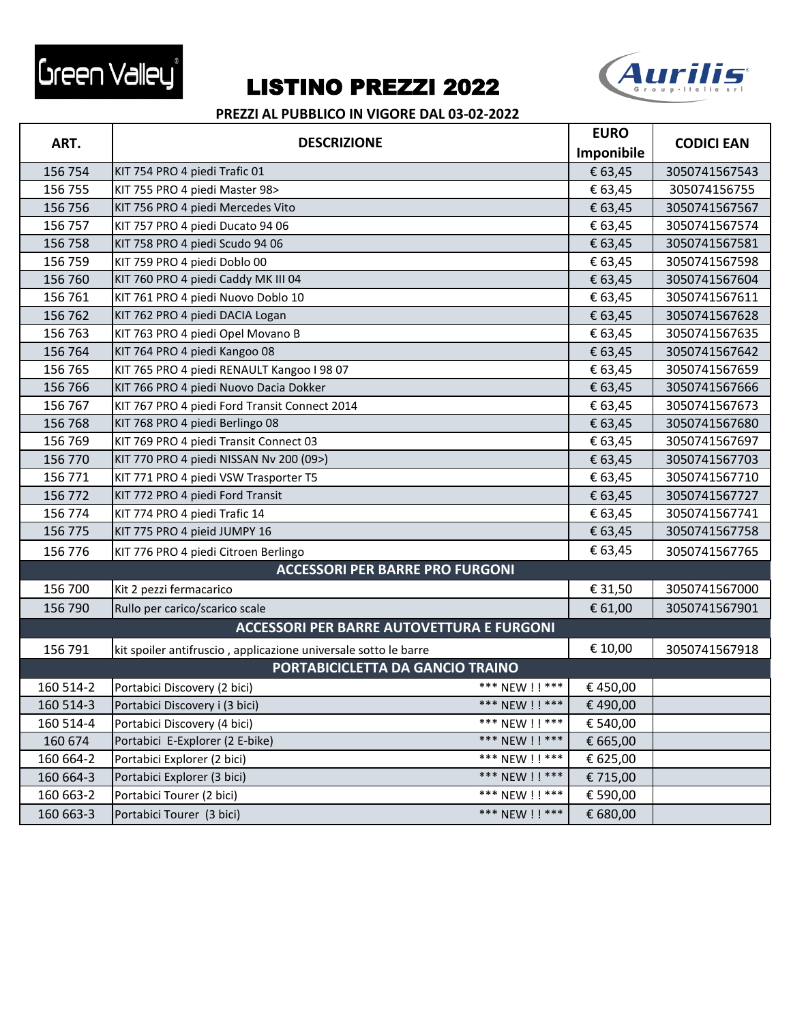



|           | <b>DESCRIZIONE</b>                                              |                 | <b>EURO</b> |                   |
|-----------|-----------------------------------------------------------------|-----------------|-------------|-------------------|
| ART.      |                                                                 |                 | Imponibile  | <b>CODICI EAN</b> |
| 156 754   | KIT 754 PRO 4 piedi Trafic 01                                   |                 | € 63,45     | 3050741567543     |
| 156 755   | KIT 755 PRO 4 piedi Master 98>                                  |                 | € 63,45     | 305074156755      |
| 156 756   | KIT 756 PRO 4 piedi Mercedes Vito                               |                 | € 63,45     | 3050741567567     |
| 156 757   | KIT 757 PRO 4 piedi Ducato 94 06                                |                 | € 63,45     | 3050741567574     |
| 156 758   | KIT 758 PRO 4 piedi Scudo 94 06                                 |                 | € 63,45     | 3050741567581     |
| 156 759   | KIT 759 PRO 4 piedi Doblo 00                                    |                 | € 63,45     | 3050741567598     |
| 156 760   | KIT 760 PRO 4 piedi Caddy MK III 04                             |                 | € 63,45     | 3050741567604     |
| 156 761   | KIT 761 PRO 4 piedi Nuovo Doblo 10                              |                 | € 63,45     | 3050741567611     |
| 156 762   | KIT 762 PRO 4 piedi DACIA Logan                                 |                 | € 63,45     | 3050741567628     |
| 156 763   | KIT 763 PRO 4 piedi Opel Movano B                               |                 | € 63,45     | 3050741567635     |
| 156 764   | KIT 764 PRO 4 piedi Kangoo 08                                   |                 | € 63,45     | 3050741567642     |
| 156 765   | KIT 765 PRO 4 piedi RENAULT Kangoo I 98 07                      |                 | € 63,45     | 3050741567659     |
| 156 766   | KIT 766 PRO 4 piedi Nuovo Dacia Dokker                          |                 | € 63,45     | 3050741567666     |
| 156 767   | KIT 767 PRO 4 piedi Ford Transit Connect 2014                   |                 | € 63,45     | 3050741567673     |
| 156 768   | KIT 768 PRO 4 piedi Berlingo 08                                 |                 | € 63,45     | 3050741567680     |
| 156 769   | KIT 769 PRO 4 piedi Transit Connect 03                          |                 | € 63,45     | 3050741567697     |
| 156 770   | KIT 770 PRO 4 piedi NISSAN Nv 200 (09>)                         |                 | € 63,45     | 3050741567703     |
| 156 771   | KIT 771 PRO 4 piedi VSW Trasporter T5                           |                 | € 63,45     | 3050741567710     |
| 156 772   | KIT 772 PRO 4 piedi Ford Transit                                |                 | € 63,45     | 3050741567727     |
| 156 774   | KIT 774 PRO 4 piedi Trafic 14                                   |                 | € 63,45     | 3050741567741     |
| 156 775   | KIT 775 PRO 4 pieid JUMPY 16                                    |                 | € 63,45     | 3050741567758     |
| 156 776   | KIT 776 PRO 4 piedi Citroen Berlingo                            |                 | € 63,45     | 3050741567765     |
|           | <b>ACCESSORI PER BARRE PRO FURGONI</b>                          |                 |             |                   |
| 156 700   | Kit 2 pezzi fermacarico                                         |                 | € 31,50     | 3050741567000     |
| 156 790   | Rullo per carico/scarico scale                                  |                 | € 61,00     | 3050741567901     |
|           | <b>ACCESSORI PER BARRE AUTOVETTURA E FURGONI</b>                |                 |             |                   |
| 156 791   | kit spoiler antifruscio, applicazione universale sotto le barre |                 | € 10,00     | 3050741567918     |
|           | PORTABICICLETTA DA GANCIO TRAINO                                |                 |             |                   |
| 160 514-2 | Portabici Discovery (2 bici)                                    | *** NEW ! ! *** | €450,00     |                   |
| 160 514-3 | Portabici Discovery i (3 bici)                                  | *** NEW ! ! *** | € 490,00    |                   |
| 160 514-4 | Portabici Discovery (4 bici)                                    | *** NEW !! ***  | € 540,00    |                   |
| 160 674   | Portabici E-Explorer (2 E-bike)                                 | *** NEW ! ! *** | € 665,00    |                   |
| 160 664-2 | Portabici Explorer (2 bici)                                     | *** NEW !! ***  | € 625,00    |                   |
| 160 664-3 | Portabici Explorer (3 bici)                                     | *** NEW !! ***  | € 715,00    |                   |
| 160 663-2 | Portabici Tourer (2 bici)                                       | *** NEW !! ***  | € 590,00    |                   |
| 160 663-3 | Portabici Tourer (3 bici)                                       | *** NEW !! ***  | € 680,00    |                   |